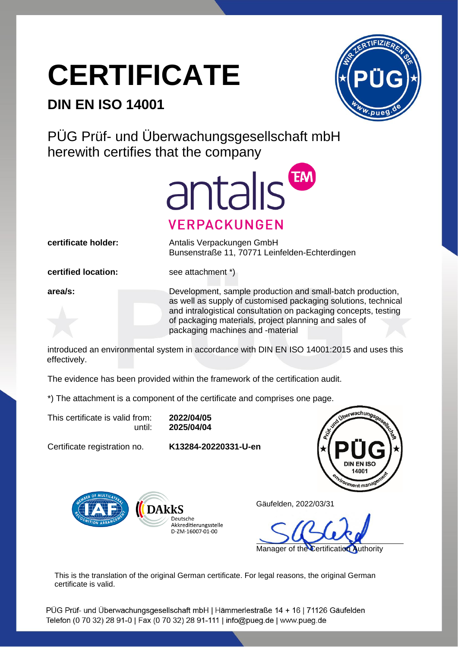## **CERTIFICATE**

## **DIN EN ISO 14001**



PÜG Prüf- und Überwachungsgesellschaft mbH herewith certifies that the company



**certificate holder:** Antalis Verpackungen GmbH Bunsenstraße 11, 70771 Leinfelden-Echterdingen

**certified location:** see attachment \*)

**area/s:** Development, sample production and small-batch production, as well as supply of customised packaging solutions, technical and intralogistical consultation on packaging concepts, testing of packaging materials, project planning and sales of packaging machines and -material

introduced an environmental system in accordance with DIN EN ISO 14001:2015 and uses this effectively.

The evidence has been provided within the framework of the certification audit.

\*) The attachment is a component of the certificate and comprises one page.

This certificate is valid from: **2022/04/05**

until: **2025/04/04**

Certificate registration no. **K13284-20220331-U-en**





Gäufelden, 2022/03/31

Manager of the Certification Authority

This is the translation of the original German certificate. For legal reasons, the original German certificate is valid.

PÜG Prüf- und Überwachungsgesellschaft mbH | Hämmerlestraße 14 + 16 | 71126 Gäufelden Telefon (0 70 32) 28 91-0 | Fax (0 70 32) 28 91-111 | info@pueg.de | www.pueg.de